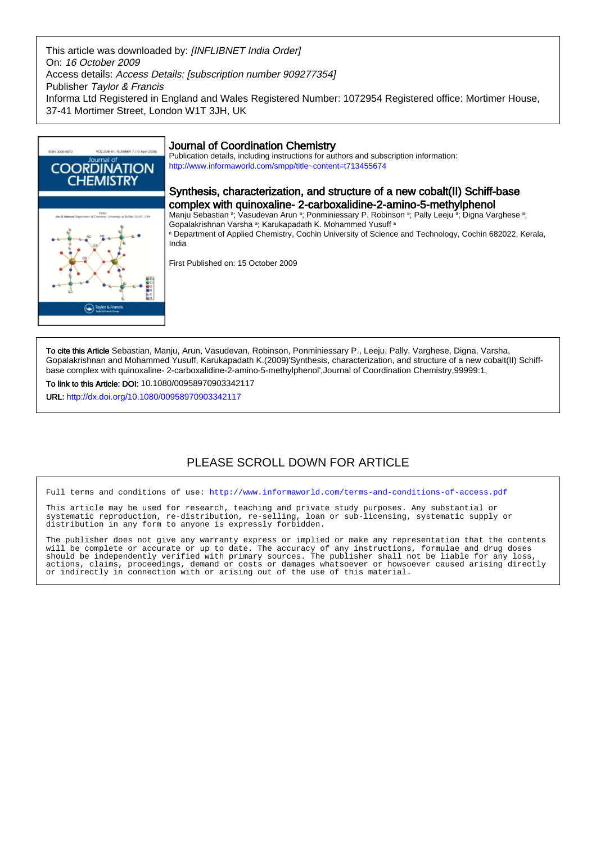This article was downloaded by: [INFLIBNET India Order] On: 16 October 2009 Access details: Access Details: [subscription number 909277354] Publisher Taylor & Francis Informa Ltd Registered in England and Wales Registered Number: 1072954 Registered office: Mortimer House, 37-41 Mortimer Street, London W1T 3JH, UK



To cite this Article Sebastian, Manju, Arun, Vasudevan, Robinson, Ponminiessary P., Leeju, Pally, Varghese, Digna, Varsha, Gopalakrishnan and Mohammed Yusuff, Karukapadath K.(2009)'Synthesis, characterization, and structure of a new cobalt(II) Schiffbase complex with quinoxaline- 2-carboxalidine-2-amino-5-methylphenol',Journal of Coordination Chemistry,99999:1,

To link to this Article: DOI: 10.1080/00958970903342117 URL: <http://dx.doi.org/10.1080/00958970903342117>

# PLEASE SCROLL DOWN FOR ARTICLE

Full terms and conditions of use:<http://www.informaworld.com/terms-and-conditions-of-access.pdf>

This article may be used for research, teaching and private study purposes. Any substantial or systematic reproduction, re-distribution, re-selling, loan or sub-licensing, systematic supply or distribution in any form to anyone is expressly forbidden.

The publisher does not give any warranty express or implied or make any representation that the contents will be complete or accurate or up to date. The accuracy of any instructions, formulae and drug doses should be independently verified with primary sources. The publisher shall not be liable for any loss, actions, claims, proceedings, demand or costs or damages whatsoever or howsoever caused arising directly or indirectly in connection with or arising out of the use of this material.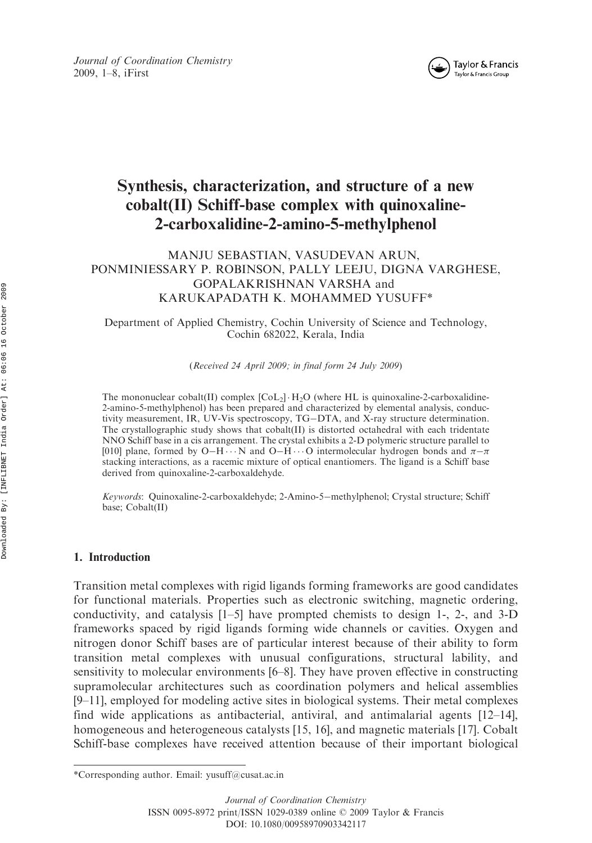



# Synthesis, characterization, and structure of a new cobalt(II) Schiff-base complex with quinoxaline-2-carboxalidine-2-amino-5-methylphenol

# MANJU SEBASTIAN, VASUDEVAN ARUN, PONMINIESSARY P. ROBINSON, PALLY LEEJU, DIGNA VARGHESE, GOPALAKRISHNAN VARSHA and KARUKAPADATH K. MOHAMMED YUSUFF\*

Department of Applied Chemistry, Cochin University of Science and Technology, Cochin 682022, Kerala, India

(Received 24 April 2009; in final form 24 July 2009)

The mononuclear cobalt(II) complex  $[CoL<sub>2</sub>] \cdot H<sub>2</sub>O$  (where HL is quinoxaline-2-carboxalidine-2-amino-5-methylphenol) has been prepared and characterized by elemental analysis, conductivity measurement, IR, UV-Vis spectroscopy, TG-DTA, and X-ray structure determination. The crystallographic study shows that cobalt(II) is distorted octahedral with each tridentate NNO Schiff base in a cis arrangement. The crystal exhibits a 2-D polymeric structure parallel to [010] plane, formed by O-H $\cdots$ N and O-H $\cdots$ O intermolecular hydrogen bonds and  $\pi-\pi$ stacking interactions, as a racemic mixture of optical enantiomers. The ligand is a Schiff base derived from quinoxaline-2-carboxaldehyde.

Keywords: Quinoxaline-2-carboxaldehyde; 2-Amino-5-methylphenol; Crystal structure; Schiff base; Cobalt(II)

# 1. Introduction

Transition metal complexes with rigid ligands forming frameworks are good candidates for functional materials. Properties such as electronic switching, magnetic ordering, conductivity, and catalysis [1–5] have prompted chemists to design 1-, 2-, and 3-D frameworks spaced by rigid ligands forming wide channels or cavities. Oxygen and nitrogen donor Schiff bases are of particular interest because of their ability to form transition metal complexes with unusual configurations, structural lability, and sensitivity to molecular environments [6–8]. They have proven effective in constructing supramolecular architectures such as coordination polymers and helical assemblies [9–11], employed for modeling active sites in biological systems. Their metal complexes find wide applications as antibacterial, antiviral, and antimalarial agents [12–14], homogeneous and heterogeneous catalysts [15, 16], and magnetic materials [17]. Cobalt Schiff-base complexes have received attention because of their important biological

<sup>\*</sup>Corresponding author. Email: yusuff@cusat.ac.in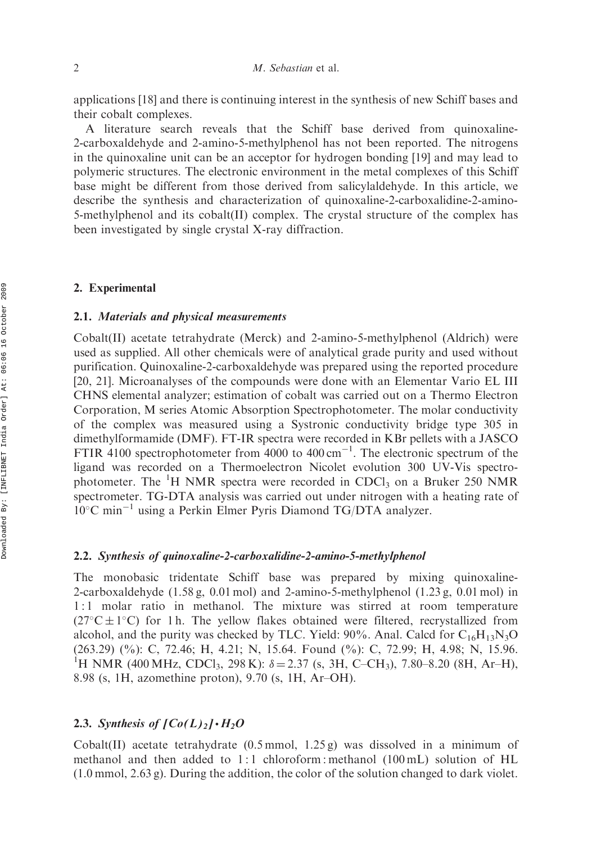applications [18] and there is continuing interest in the synthesis of new Schiff bases and their cobalt complexes.

A literature search reveals that the Schiff base derived from quinoxaline-2-carboxaldehyde and 2-amino-5-methylphenol has not been reported. The nitrogens in the quinoxaline unit can be an acceptor for hydrogen bonding [19] and may lead to polymeric structures. The electronic environment in the metal complexes of this Schiff base might be different from those derived from salicylaldehyde. In this article, we describe the synthesis and characterization of quinoxaline-2-carboxalidine-2-amino-5-methylphenol and its cobalt(II) complex. The crystal structure of the complex has been investigated by single crystal X-ray diffraction.

### 2. Experimental

## 2.1. Materials and physical measurements

Cobalt(II) acetate tetrahydrate (Merck) and 2-amino-5-methylphenol (Aldrich) were used as supplied. All other chemicals were of analytical grade purity and used without purification. Quinoxaline-2-carboxaldehyde was prepared using the reported procedure [20, 21]. Microanalyses of the compounds were done with an Elementar Vario EL III CHNS elemental analyzer; estimation of cobalt was carried out on a Thermo Electron Corporation, M series Atomic Absorption Spectrophotometer. The molar conductivity of the complex was measured using a Systronic conductivity bridge type 305 in dimethylformamide (DMF). FT-IR spectra were recorded in KBr pellets with a JASCO FTIR 4100 spectrophotometer from  $4000$  to  $400 \text{ cm}^{-1}$ . The electronic spectrum of the ligand was recorded on a Thermoelectron Nicolet evolution 300 UV-Vis spectrophotometer. The <sup>1</sup>H NMR spectra were recorded in CDCl<sub>3</sub> on a Bruker 250 NMR spectrometer. TG-DTA analysis was carried out under nitrogen with a heating rate of  $10^{\circ}$ C min<sup>-1</sup> using a Perkin Elmer Pyris Diamond TG/DTA analyzer.

#### 2.2. Synthesis of quinoxaline-2-carboxalidine-2-amino-5-methylphenol

The monobasic tridentate Schiff base was prepared by mixing quinoxaline-2-carboxaldehyde (1.58 g, 0.01 mol) and 2-amino-5-methylphenol (1.23 g, 0.01 mol) in 1 : 1 molar ratio in methanol. The mixture was stirred at room temperature  $(27^{\circ}C \pm 1^{\circ}C)$  for 1 h. The yellow flakes obtained were filtered, recrystallized from alcohol, and the purity was checked by TLC. Yield: 90%. Anal. Calcd for  $C_{16}H_{13}N_3O$ (263.29) (%): C, 72.46; H, 4.21; N, 15.64. Found (%): C, 72.99; H, 4.98; N, 15.96. <sup>1</sup>H NMR (400 MHz, CDCl<sub>3</sub>, 298 K):  $\delta = 2.37$  (s, 3H, C–CH<sub>3</sub>), 7.80–8.20 (8H, Ar–H), 8.98 (s, 1H, azomethine proton), 9.70 (s, 1H, Ar–OH).

# 2.3. Synthesis of  $[Co(L)<sub>2</sub>] \cdot H<sub>2</sub>O$

Cobalt(II) acetate tetrahydrate  $(0.5 \text{ mmol}, 1.25 \text{ g})$  was dissolved in a minimum of methanol and then added to 1:1 chloroform: methanol (100 mL) solution of HL (1.0 mmol, 2.63 g). During the addition, the color of the solution changed to dark violet.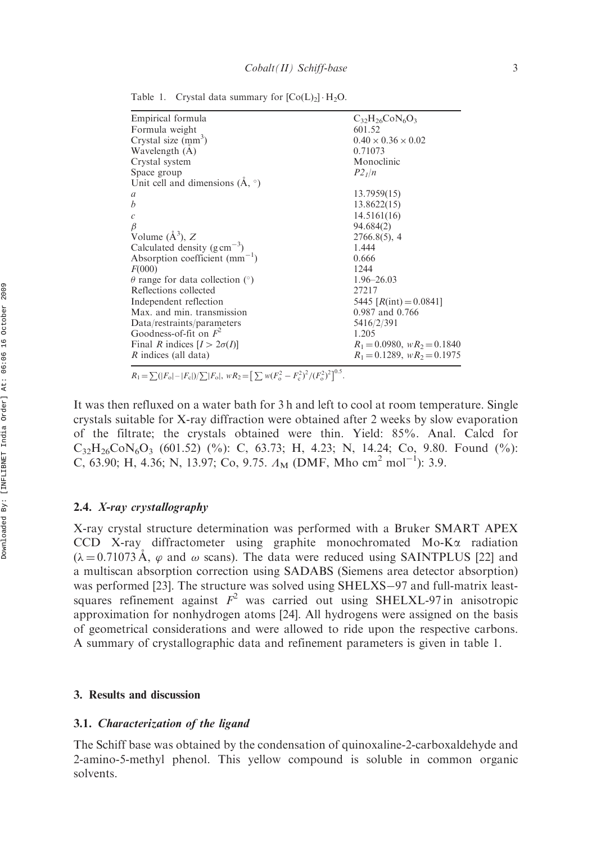Empirical formula<br>
Formula weight  $C_{32}H_{26}CoN_6O_3$ <br>  $601.52$ Formula weight Crystal size  $(mm<sup>3</sup>)$  $0.40 \times 0.36 \times 0.02$ Wavelength  $(\dot{A})$  0.71073 Crystal system Monoclinic Space group  $P2_1/n$ Unit cell and dimensions  $(\AA, \circ)$ a 13.7959(15)  $b$  13.8622(15)  $c$  14.5161(16) 94.684(2) Volume  $(\AA^3)$ , Z  $2766.8(5)$ , 4 Calculated density  $(g \text{ cm}^{-3})$ ) 1.444 Absorption coefficient  $(mm^{-1})$ ) 0.666  $F(000)$  1244  $\theta$  range for data collection (°) 1.96–26.03<br>Reflections collected 27217 Reflections collected Independent reflection  $5445 [R(int) = 0.0841]$ Max. and min. transmission 0.987 and 0.766 Data/restraints/parameters 5416/2/391 Goodness-of-fit on  $F^2$  1.205 Final R indices  $[I > 2\sigma(I)]$ <br>
R indices (all data)<br>  $R_1 = 0.0980, wR_2 = 0.1840$ <br>  $R_1 = 0.1289, wR_2 = 0.1975$  $R_1 = 0.1289$ ,  $wR_2 = 0.1975$ 

Table 1. Crystal data summary for  $[Co(L)<sub>2</sub>] \cdot H<sub>2</sub>O$ .

 $R_1 = \sum (|F_o| - |F_c|)/\sum |F_o|, \ wR_2 = \left[\sum w(F_o^2 - F_c^2)^2/(F_o^2)^2\right]^{0.5}.$ 

It was then refluxed on a water bath for 3 h and left to cool at room temperature. Single crystals suitable for X-ray diffraction were obtained after 2 weeks by slow evaporation of the filtrate; the crystals obtained were thin. Yield: 85%. Anal. Calcd for  $C_{32}H_{26}CoN_6O_3$  (601.52) (%): C, 63.73; H, 4.23; N, 14.24; Co, 9.80. Found (%): C, 63.90; H, 4.36; N, 13.97; Co, 9.75.  $\Lambda_M$  (DMF, Mho cm<sup>2</sup> mol<sup>-1</sup>): 3.9.

# 2.4. X-ray crystallography

X-ray crystal structure determination was performed with a Bruker SMART APEX CCD X-ray diffractometer using graphite monochromated Mo- $K\alpha$  radiation  $(\lambda = 0.71073 \text{ Å}, \varphi \text{ and } \omega \text{ scans})$ . The data were reduced using SAINTPLUS [22] and a multiscan absorption correction using SADABS (Siemens area detector absorption) was performed  $[23]$ . The structure was solved using SHELXS-97 and full-matrix leastsquares refinement against  $F^2$  was carried out using SHELXL-97 in anisotropic approximation for nonhydrogen atoms [24]. All hydrogens were assigned on the basis of geometrical considerations and were allowed to ride upon the respective carbons. A summary of crystallographic data and refinement parameters is given in table 1.

#### 3. Results and discussion

#### 3.1. Characterization of the ligand

The Schiff base was obtained by the condensation of quinoxaline-2-carboxaldehyde and 2-amino-5-methyl phenol. This yellow compound is soluble in common organic solvents.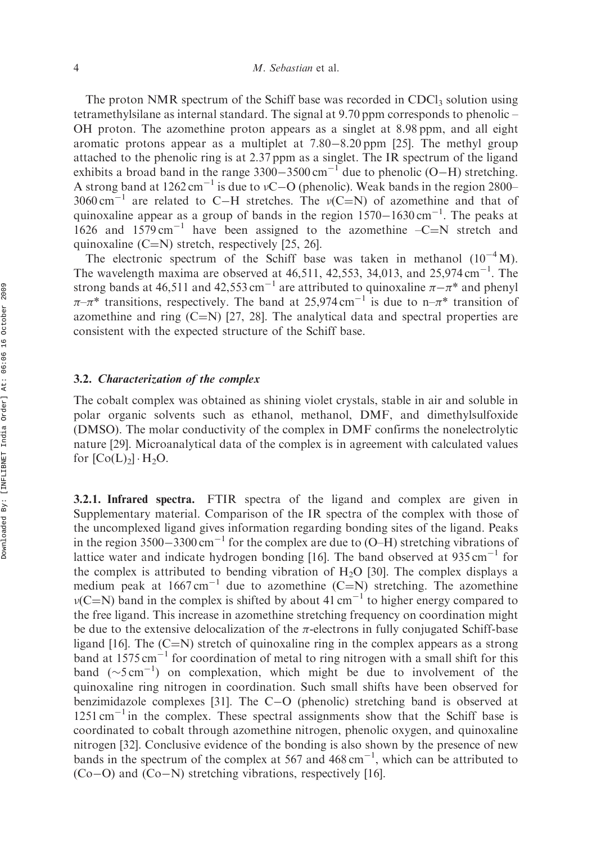The proton NMR spectrum of the Schiff base was recorded in CDCl<sub>3</sub> solution using tetramethylsilane as internal standard. The signal at 9.70 ppm corresponds to phenolic – OH proton. The azomethine proton appears as a singlet at 8.98 ppm, and all eight aromatic protons appear as a multiplet at  $7.80 - 8.20$  ppm [25]. The methyl group attached to the phenolic ring is at 2.37 ppm as a singlet. The IR spectrum of the ligand exhibits a broad band in the range  $3300-3500 \text{ cm}^{-1}$  due to phenolic (O–H) stretching. A strong band at  $1262 \text{ cm}^{-1}$  is due to vC-O (phenolic). Weak bands in the region 2800– 3060 cm<sup>-1</sup> are related to C-H stretches. The  $v(C=N)$  of azomethine and that of quinoxaline appear as a group of bands in the region  $1570-1630 \text{ cm}^{-1}$ . The peaks at 1626 and 1579 cm<sup>-1</sup> have been assigned to the azomethine  $-C=N$  stretch and quinoxaline  $(C=N)$  stretch, respectively [25, 26].

The electronic spectrum of the Schiff base was taken in methanol  $(10^{-4} M)$ . The wavelength maxima are observed at  $46,511, 42,553, 34,013$ , and  $25,974 \text{ cm}^{-1}$ . The strong bands at 46,511 and 42,553 cm<sup>-1</sup> are attributed to quinoxaline  $\pi - \pi^*$  and phenyl  $\pi-\pi^*$  transitions, respectively. The band at 25,974 cm<sup>-1</sup> is due to n- $\pi^*$  transition of azomethine and ring  $(C=N)$  [27, 28]. The analytical data and spectral properties are consistent with the expected structure of the Schiff base.

## 3.2. Characterization of the complex

The cobalt complex was obtained as shining violet crystals, stable in air and soluble in polar organic solvents such as ethanol, methanol, DMF, and dimethylsulfoxide (DMSO). The molar conductivity of the complex in DMF confirms the nonelectrolytic nature [29]. Microanalytical data of the complex is in agreement with calculated values for  $[Co(L)<sub>2</sub>] \cdot H<sub>2</sub>O$ .

3.2.1. Infrared spectra. FTIR spectra of the ligand and complex are given in Supplementary material. Comparison of the IR spectra of the complex with those of the uncomplexed ligand gives information regarding bonding sites of the ligand. Peaks in the region  $3500-3300 \text{ cm}^{-1}$  for the complex are due to (O–H) stretching vibrations of lattice water and indicate hydrogen bonding [16]. The band observed at  $935 \text{ cm}^{-1}$  for the complex is attributed to bending vibration of  $H_2O$  [30]. The complex displays a medium peak at  $1667 \text{ cm}^{-1}$  due to azomethine (C=N) stretching. The azomethine  $\nu(C=N)$  band in the complex is shifted by about 41 cm<sup>-1</sup> to higher energy compared to the free ligand. This increase in azomethine stretching frequency on coordination might be due to the extensive delocalization of the  $\pi$ -electrons in fully conjugated Schiff-base ligand [16]. The  $(C=N)$  stretch of quinoxaline ring in the complex appears as a strong band at  $1575 \text{ cm}^{-1}$  for coordination of metal to ring nitrogen with a small shift for this band  $(\sim 5 \text{ cm}^{-1})$  on complexation, which might be due to involvement of the quinoxaline ring nitrogen in coordination. Such small shifts have been observed for benzimidazole complexes [31]. The  $C-O$  (phenolic) stretching band is observed at  $1251 \text{ cm}^{-1}$  in the complex. These spectral assignments show that the Schiff base is coordinated to cobalt through azomethine nitrogen, phenolic oxygen, and quinoxaline nitrogen [32]. Conclusive evidence of the bonding is also shown by the presence of new bands in the spectrum of the complex at 567 and  $468 \text{ cm}^{-1}$ , which can be attributed to  $(Co-O)$  and  $(Co-N)$  stretching vibrations, respectively [16].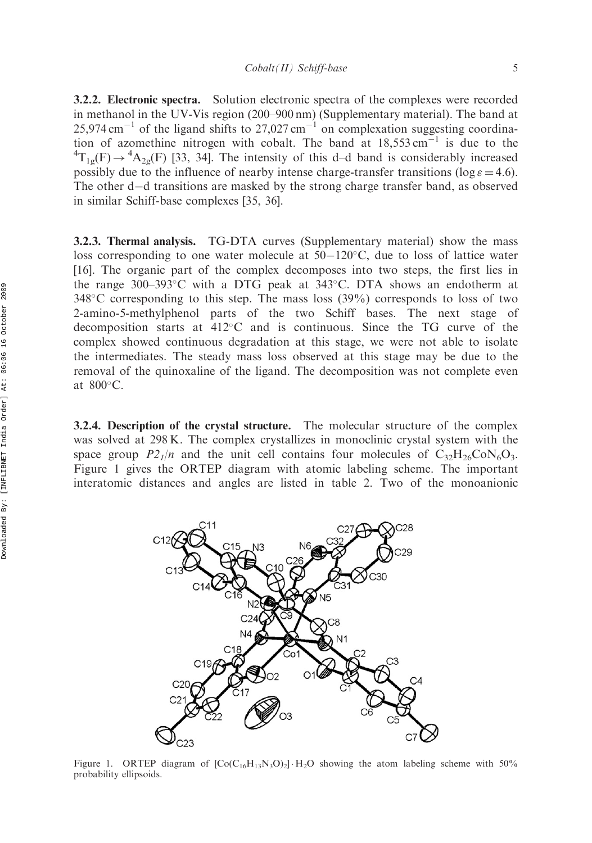3.2.2. Electronic spectra. Solution electronic spectra of the complexes were recorded in methanol in the UV-Vis region (200–900 nm) (Supplementary material). The band at  $25,974 \text{ cm}^{-1}$  of the ligand shifts to  $27,027 \text{ cm}^{-1}$  on complexation suggesting coordination of azomethine nitrogen with cobalt. The band at  $18,553 \text{ cm}^{-1}$  is due to the  ${}^{4}T_{1g}(F) \rightarrow {}^{4}A_{2g}(F)$  [33, 34]. The intensity of this d–d band is considerably increased possibly due to the influence of nearby intense charge-transfer transitions (log  $\varepsilon = 4.6$ ). The other  $d-d$  transitions are masked by the strong charge transfer band, as observed in similar Schiff-base complexes [35, 36].

3.2.3. Thermal analysis. TG-DTA curves (Supplementary material) show the mass loss corresponding to one water molecule at  $50-120^{\circ}$ C, due to loss of lattice water [16]. The organic part of the complex decomposes into two steps, the first lies in the range 300–393 $\degree$ C with a DTG peak at 343 $\degree$ C. DTA shows an endotherm at  $348^{\circ}$ C corresponding to this step. The mass loss  $(39\%)$  corresponds to loss of two 2-amino-5-methylphenol parts of the two Schiff bases. The next stage of decomposition starts at  $412^{\circ}$ C and is continuous. Since the TG curve of the complex showed continuous degradation at this stage, we were not able to isolate the intermediates. The steady mass loss observed at this stage may be due to the removal of the quinoxaline of the ligand. The decomposition was not complete even at  $800^{\circ}$ C.

3.2.4. Description of the crystal structure. The molecular structure of the complex was solved at 298 K. The complex crystallizes in monoclinic crystal system with the space group  $P_2/2/n$  and the unit cell contains four molecules of  $C_{32}H_{26}CoN_6O_3$ . Figure 1 gives the ORTEP diagram with atomic labeling scheme. The important interatomic distances and angles are listed in table 2. Two of the monoanionic



Figure 1. ORTEP diagram of  $[Co(C_{16}H_{13}N_3O)_2] \cdot H_2O$  showing the atom labeling scheme with 50% probability ellipsoids.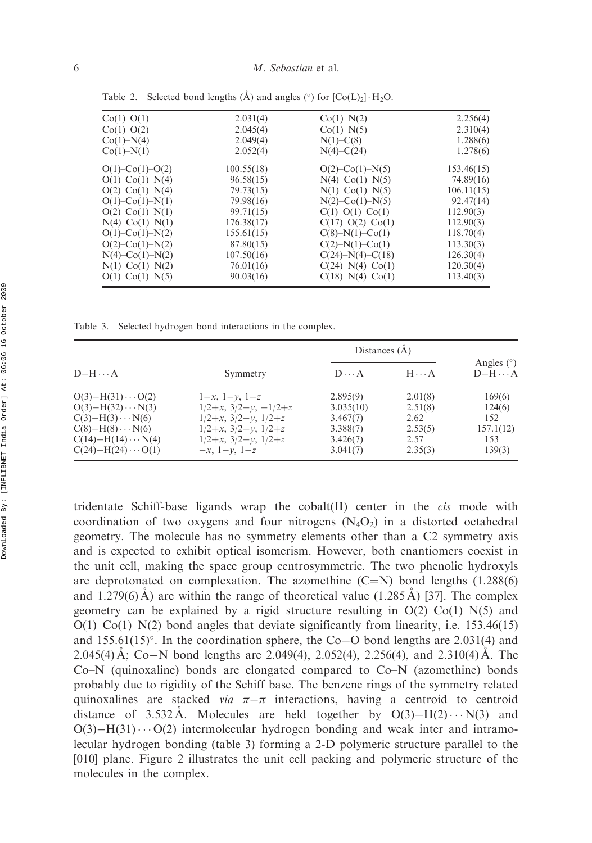| $Co(1)-O(1)$              | 2.031(4)   | $Co(1)-N(2)$              | 2.256(4)   |
|---------------------------|------------|---------------------------|------------|
| $Co(1)-O(2)$              | 2.045(4)   | Co(1)–N(5)                | 2.310(4)   |
| Co(1)–N(4)                | 2.049(4)   | $N(1)$ –C $(8)$           | 1.288(6)   |
| Co(1)–N(1)                | 2.052(4)   | $N(4)$ –C(24)             | 1.278(6)   |
| $O(1)$ – $Co(1)$ – $O(2)$ | 100.55(18) | $O(2)$ – $Co(1)$ – $N(5)$ | 153.46(15) |
| $O(1)$ – $Co(1)$ – $N(4)$ | 96.58(15)  | $N(4)$ –Co(1)–N(5)        | 74.89(16)  |
| $O(2)$ – $Co(1)$ – $N(4)$ | 79.73(15)  | $N(1)$ –Co $(1)$ –N $(5)$ | 106.11(15) |
| $O(1)$ – $Co(1)$ – $N(1)$ | 79.98(16)  | $N(2)$ –Co(1)– $N(5)$     | 92.47(14)  |
| $O(2)$ – $Co(1)$ – $N(1)$ | 99.71(15)  | $C(1)-O(1)-Co(1)$         | 112.90(3)  |
| $N(4)$ –Co(1)– $N(1)$     | 176.38(17) | $C(17)-O(2)-C0(1)$        | 112.90(3)  |
| $O(1)$ – $Co(1)$ – $N(2)$ | 155.61(15) | $C(8)-N(1)-Co(1)$         | 118.70(4)  |
| $O(2)$ – $Co(1)$ – $N(2)$ | 87.80(15)  | $C(2) - N(1) - Co(1)$     | 113.30(3)  |
| $N(4)$ –Co(1)– $N(2)$     | 107.50(16) | $C(24) - N(4) - C(18)$    | 126.30(4)  |
| $N(1)$ – $Co(1)$ – $N(2)$ | 76.01(16)  | $C(24) - N(4) - C0(1)$    | 120.30(4)  |
| $O(1)$ – $Co(1)$ – $N(5)$ | 90.03(16)  | $C(18) - N(4) - C0(1)$    | 113.40(3)  |

Table 2. Selected bond lengths  $(\mathring{A})$  and angles  $(°)$  for  $[Co(L)<sub>2</sub>] \cdot H_2O$ .

Table 3. Selected hydrogen bond interactions in the complex.

| $D-H \cdots A$                                                                                                                                                                |                                                                                                                                                                |                                                                       | Distances $(A)$                                          |                                                       |
|-------------------------------------------------------------------------------------------------------------------------------------------------------------------------------|----------------------------------------------------------------------------------------------------------------------------------------------------------------|-----------------------------------------------------------------------|----------------------------------------------------------|-------------------------------------------------------|
|                                                                                                                                                                               | Symmetry                                                                                                                                                       | $D \cdots A$                                                          | $H \cdots A$                                             | Angles $(°)$<br>$D-H \cdots A$                        |
| $O(3) - H(31) \cdots O(2)$<br>$O(3) - H(32) \cdots N(3)$<br>$C(3)-H(3)\cdots N(6)$<br>$C(8) - H(8) \cdots N(6)$<br>$C(14) - H(14) \cdots N(4)$<br>$C(24) - H(24) \cdots O(1)$ | $1-x, 1-y, 1-z$<br>$1/2+x$ , $3/2-y$ , $-1/2+z$<br>$1/2+x$ , $3/2-y$ , $1/2+z$<br>$1/2+x$ , $3/2-y$ , $1/2+z$<br>$1/2+x$ , $3/2-y$ , $1/2+z$<br>$-x, 1-y, 1-z$ | 2.895(9)<br>3.035(10)<br>3.467(7)<br>3.388(7)<br>3.426(7)<br>3.041(7) | 2.01(8)<br>2.51(8)<br>2.62<br>2.53(5)<br>2.57<br>2.35(3) | 169(6)<br>124(6)<br>152<br>157.1(12)<br>153<br>139(3) |

tridentate Schiff-base ligands wrap the cobalt(II) center in the cis mode with coordination of two oxygens and four nitrogens  $(N_4O_2)$  in a distorted octahedral geometry. The molecule has no symmetry elements other than a C2 symmetry axis and is expected to exhibit optical isomerism. However, both enantiomers coexist in the unit cell, making the space group centrosymmetric. The two phenolic hydroxyls are deprotonated on complexation. The azomethine  $(C=N)$  bond lengths (1.288(6) and 1.279(6) A) are within the range of theoretical value  $(1.285 \text{ A})$  [37]. The complex geometry can be explained by a rigid structure resulting in  $O(2)$ –Co(1)–N(5) and  $O(1)$ –Co(1)–N(2) bond angles that deviate significantly from linearity, i.e. 153.46(15) and 155.61(15)°. In the coordination sphere, the Co–O bond lengths are 2.031(4) and 2.045(4)  $\AA$ ; Co-N bond lengths are 2.049(4), 2.052(4), 2.256(4), and 2.310(4)  $\AA$ . The  $Co-N$  (quinoxaline) bonds are elongated compared to  $Co-N$  (azomethine) bonds probably due to rigidity of the Schiff base. The benzene rings of the symmetry related quinoxalines are stacked *via*  $\pi-\pi$  interactions, having a centroid to centroid distance of 3.532 Å. Molecules are held together by  $O(3) - H(2) \cdots N(3)$  and  $O(3) - H(31) \cdots O(2)$  intermolecular hydrogen bonding and weak inter and intramolecular hydrogen bonding (table 3) forming a 2-D polymeric structure parallel to the [010] plane. Figure 2 illustrates the unit cell packing and polymeric structure of the molecules in the complex.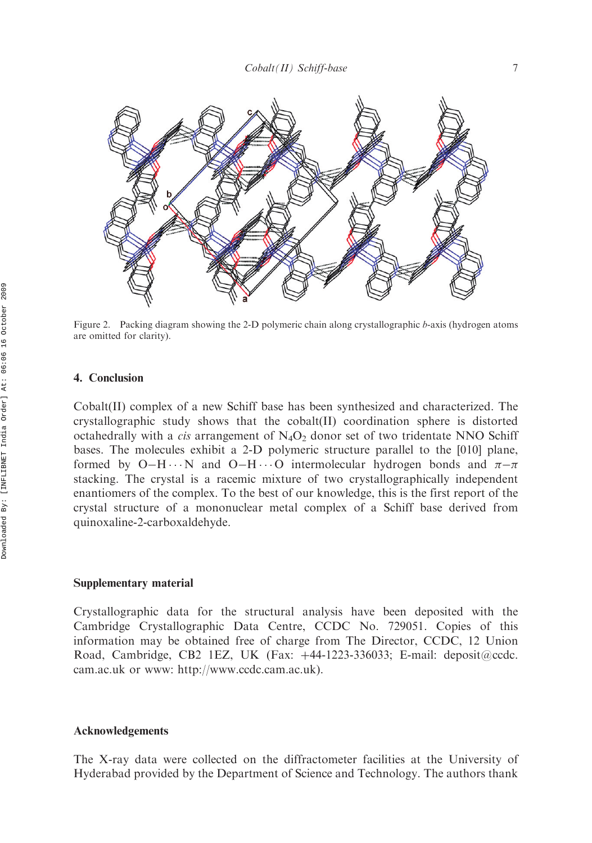

Figure 2. Packing diagram showing the 2-D polymeric chain along crystallographic b-axis (hydrogen atoms are omitted for clarity).

# 4. Conclusion

Cobalt(II) complex of a new Schiff base has been synthesized and characterized. The crystallographic study shows that the cobalt(II) coordination sphere is distorted octahedrally with a *cis* arrangement of  $N_4O_2$  donor set of two tridentate NNO Schiff bases. The molecules exhibit a 2-D polymeric structure parallel to the [010] plane, formed by O-H $\cdots$ N and O-H $\cdots$ O intermolecular hydrogen bonds and  $\pi-\pi$ stacking. The crystal is a racemic mixture of two crystallographically independent enantiomers of the complex. To the best of our knowledge, this is the first report of the crystal structure of a mononuclear metal complex of a Schiff base derived from quinoxaline-2-carboxaldehyde.

## Supplementary material

Crystallographic data for the structural analysis have been deposited with the Cambridge Crystallographic Data Centre, CCDC No. 729051. Copies of this information may be obtained free of charge from The Director, CCDC, 12 Union Road, Cambridge, CB2 1EZ, UK (Fax: +44-1223-336033; E-mail: deposit@ccdc. cam.ac.uk or www: http://www.ccdc.cam.ac.uk).

### Acknowledgements

The X-ray data were collected on the diffractometer facilities at the University of Hyderabad provided by the Department of Science and Technology. The authors thank